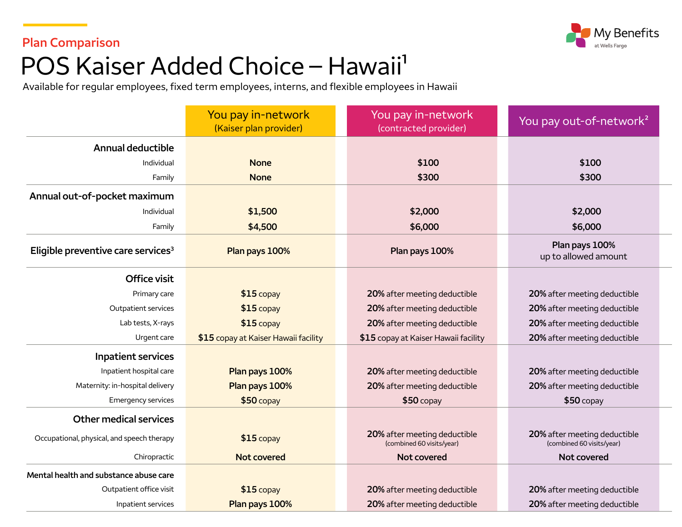

#### **Plan Comparison**

# POS Kaiser Added Choice - Hawaii<sup>1</sup>

Available for regular employees, fixed term employees, interns, and flexible employees in Hawaii

|                                                | You pay in-network<br>(Kaiser plan provider) | You pay in-network<br>(contracted provider)               | You pay out-of-network <sup>2</sup>                       |
|------------------------------------------------|----------------------------------------------|-----------------------------------------------------------|-----------------------------------------------------------|
| <b>Annual deductible</b>                       |                                              |                                                           |                                                           |
| Individual                                     | <b>None</b>                                  | \$100                                                     | \$100                                                     |
| Family                                         | <b>None</b>                                  | \$300                                                     | \$300                                                     |
| Annual out-of-pocket maximum                   |                                              |                                                           |                                                           |
| Individual                                     | \$1,500                                      | \$2,000                                                   | \$2,000                                                   |
| Family                                         | \$4,500                                      | \$6,000                                                   | \$6,000                                                   |
| Eligible preventive care services <sup>3</sup> | Plan pays 100%                               | Plan pays 100%                                            | Plan pays 100%<br>up to allowed amount                    |
| Office visit                                   |                                              |                                                           |                                                           |
| Primary care                                   | $$15$ copay                                  | 20% after meeting deductible                              | 20% after meeting deductible                              |
| Outpatient services                            | $$15$ copay                                  | 20% after meeting deductible                              | 20% after meeting deductible                              |
| Lab tests, X-rays                              | $$15$ copay                                  | 20% after meeting deductible                              | 20% after meeting deductible                              |
| Urgent care                                    | \$15 copay at Kaiser Hawaii facility         | \$15 copay at Kaiser Hawaii facility                      | 20% after meeting deductible                              |
| <b>Inpatient services</b>                      |                                              |                                                           |                                                           |
| Inpatient hospital care                        | Plan pays 100%                               | 20% after meeting deductible                              | 20% after meeting deductible                              |
| Maternity: in-hospital delivery                | Plan pays 100%                               | 20% after meeting deductible                              | 20% after meeting deductible                              |
| Emergency services                             | $$50$ copay                                  | $$50$ copay                                               | $$50$ copay                                               |
| <b>Other medical services</b>                  |                                              |                                                           |                                                           |
| Occupational, physical, and speech therapy     | $$15$ copay                                  | 20% after meeting deductible<br>(combined 60 visits/year) | 20% after meeting deductible<br>(combined 60 visits/year) |
| Chiropractic                                   | <b>Not covered</b>                           | Not covered                                               | Not covered                                               |
| Mental health and substance abuse care         |                                              |                                                           |                                                           |
| Outpatient office visit                        | $$15$ copay                                  | 20% after meeting deductible                              | 20% after meeting deductible                              |
| Inpatient services                             | Plan pays 100%                               | 20% after meeting deductible                              | 20% after meeting deductible                              |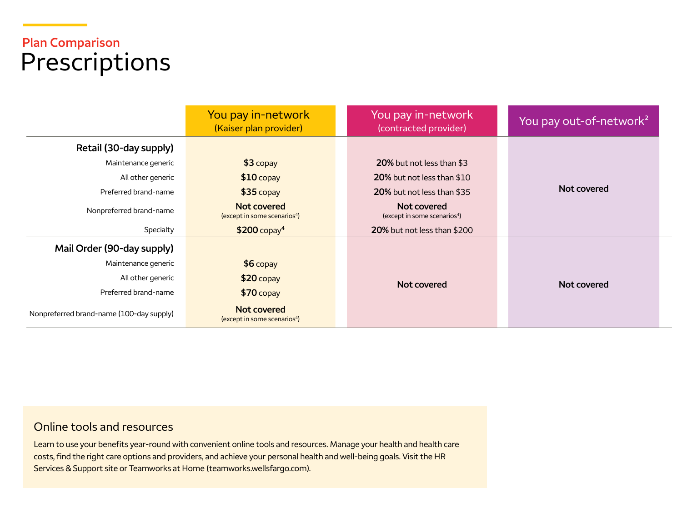## **Plan Comparison**  Prescriptions

|                                          | You pay in-network<br>(Kaiser plan provider)            | You pay in-network<br>(contracted provider)             | You pay out-of-network <sup>2</sup> |
|------------------------------------------|---------------------------------------------------------|---------------------------------------------------------|-------------------------------------|
| Retail (30-day supply)                   |                                                         |                                                         |                                     |
| Maintenance generic                      | $$3$ copay                                              | 20% but not less than \$3                               |                                     |
| All other generic                        | $$10$ copay                                             | 20% but not less than \$10                              |                                     |
| Preferred brand-name                     | $$35$ copay                                             | 20% but not less than \$35                              | Not covered                         |
| Nonpreferred brand-name                  | Not covered<br>(except in some scenarios <sup>4</sup> ) | Not covered<br>(except in some scenarios <sup>4</sup> ) |                                     |
| Specialty                                | $$200$ copay <sup>4</sup>                               | 20% but not less than \$200                             |                                     |
| Mail Order (90-day supply)               |                                                         |                                                         |                                     |
| Maintenance generic                      | $$6$ copay                                              |                                                         |                                     |
| All other generic                        | $$20$ copay                                             | Not covered                                             | Not covered                         |
| Preferred brand-name                     | $$70$ copay                                             |                                                         |                                     |
| Nonpreferred brand-name (100-day supply) | Not covered<br>(except in some scenarios <sup>4</sup> ) |                                                         |                                     |

#### Online tools and resources

Learn to use your benefits year-round with convenient online tools and resources. Manage your health and health care costs, find the right care options and providers, and achieve your personal health and well-being goals. Visit the HR Services & Support site or Teamworks at Home [\(teamworks.wellsfargo.com\)](https://teamworks.wellsfargo.com).